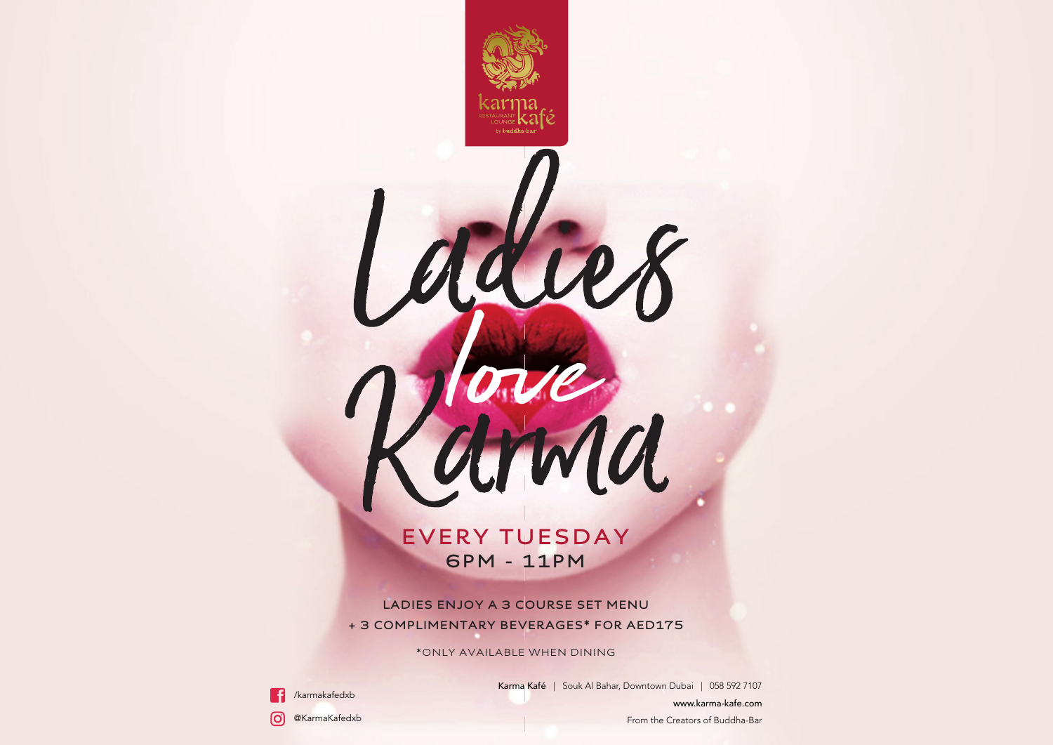# **EVERY TUESDAY 6PM - 11PM**

love<br>and

**LADIES ENJOY A 3 COURSE SET MENU + 3 COMPLIMENTARY BEVERAGES\* FOR AED175**

\*ONLY AVAILABLE WHEN DINING



Karma Kafé | Souk Al Bahar, Downtown Dubai | 058 592 7107 www.karma-kafe.com

@KarmaKafedxb രി

From the Creators of Buddha-Bar